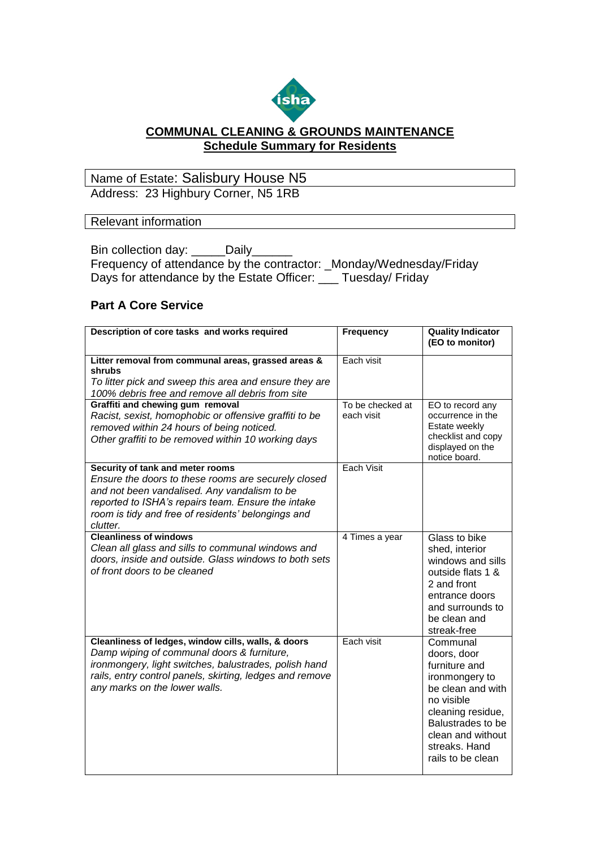

## **COMMUNAL CLEANING & GROUNDS MAINTENANCE Schedule Summary for Residents**

## Name of Estate: Salisbury House N5 Address: 23 Highbury Corner, N5 1RB

## Relevant information

Bin collection day: Daily Frequency of attendance by the contractor: \_Monday/Wednesday/Friday Days for attendance by the Estate Officer: \_\_\_ Tuesday/ Friday

## **Part A Core Service**

| Description of core tasks and works required                                                                                                                                                                                                                    | <b>Frequency</b>               | <b>Quality Indicator</b><br>(EO to monitor)                                                                                                                                                        |
|-----------------------------------------------------------------------------------------------------------------------------------------------------------------------------------------------------------------------------------------------------------------|--------------------------------|----------------------------------------------------------------------------------------------------------------------------------------------------------------------------------------------------|
| Litter removal from communal areas, grassed areas &<br>shrubs<br>To litter pick and sweep this area and ensure they are<br>100% debris free and remove all debris from site                                                                                     | Each visit                     |                                                                                                                                                                                                    |
| Graffiti and chewing gum removal<br>Racist, sexist, homophobic or offensive graffiti to be<br>removed within 24 hours of being noticed.<br>Other graffiti to be removed within 10 working days                                                                  | To be checked at<br>each visit | EO to record any<br>occurrence in the<br>Estate weekly<br>checklist and copy<br>displayed on the<br>notice board.                                                                                  |
| Security of tank and meter rooms<br>Ensure the doors to these rooms are securely closed<br>and not been vandalised. Any vandalism to be<br>reported to ISHA's repairs team. Ensure the intake<br>room is tidy and free of residents' belongings and<br>clutter. | Each Visit                     |                                                                                                                                                                                                    |
| <b>Cleanliness of windows</b><br>Clean all glass and sills to communal windows and<br>doors, inside and outside. Glass windows to both sets<br>of front doors to be cleaned                                                                                     | 4 Times a year                 | Glass to bike<br>shed, interior<br>windows and sills<br>outside flats 1 &<br>2 and front<br>entrance doors<br>and surrounds to<br>be clean and<br>streak-free                                      |
| Cleanliness of ledges, window cills, walls, & doors<br>Damp wiping of communal doors & furniture,<br>ironmongery, light switches, balustrades, polish hand<br>rails, entry control panels, skirting, ledges and remove<br>any marks on the lower walls.         | Each visit                     | Communal<br>doors, door<br>furniture and<br>ironmongery to<br>be clean and with<br>no visible<br>cleaning residue,<br>Balustrades to be<br>clean and without<br>streaks. Hand<br>rails to be clean |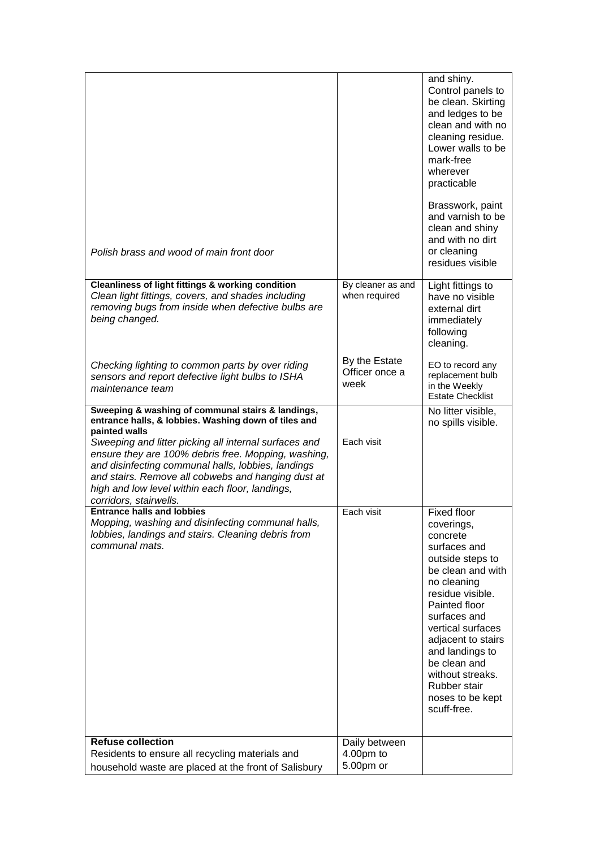| Polish brass and wood of main front door                                                                                                                                                                                                                                                                                                                                                                                            |                                         | and shiny.<br>Control panels to<br>be clean. Skirting<br>and ledges to be<br>clean and with no<br>cleaning residue.<br>Lower walls to be<br>mark-free<br>wherever<br>practicable<br>Brasswork, paint<br>and varnish to be<br>clean and shiny<br>and with no dirt<br>or cleaning<br>residues visible                            |
|-------------------------------------------------------------------------------------------------------------------------------------------------------------------------------------------------------------------------------------------------------------------------------------------------------------------------------------------------------------------------------------------------------------------------------------|-----------------------------------------|--------------------------------------------------------------------------------------------------------------------------------------------------------------------------------------------------------------------------------------------------------------------------------------------------------------------------------|
| <b>Cleanliness of light fittings &amp; working condition</b><br>Clean light fittings, covers, and shades including<br>removing bugs from inside when defective bulbs are<br>being changed.                                                                                                                                                                                                                                          | By cleaner as and<br>when required      | Light fittings to<br>have no visible<br>external dirt<br>immediately<br>following<br>cleaning.                                                                                                                                                                                                                                 |
| Checking lighting to common parts by over riding<br>sensors and report defective light bulbs to ISHA<br>maintenance team                                                                                                                                                                                                                                                                                                            | By the Estate<br>Officer once a<br>week | EO to record any<br>replacement bulb<br>in the Weekly<br><b>Estate Checklist</b>                                                                                                                                                                                                                                               |
| Sweeping & washing of communal stairs & landings,<br>entrance halls, & lobbies. Washing down of tiles and<br>painted walls<br>Sweeping and litter picking all internal surfaces and<br>ensure they are 100% debris free. Mopping, washing,<br>and disinfecting communal halls, lobbies, landings<br>and stairs. Remove all cobwebs and hanging dust at<br>high and low level within each floor, landings,<br>corridors, stairwells. | Each visit                              | No litter visible,<br>no spills visible.                                                                                                                                                                                                                                                                                       |
| <b>Entrance halls and lobbies</b><br>Mopping, washing and disinfecting communal halls,<br>lobbies, landings and stairs. Cleaning debris from<br>communal mats.                                                                                                                                                                                                                                                                      | Each visit                              | <b>Fixed floor</b><br>coverings,<br>concrete<br>surfaces and<br>outside steps to<br>be clean and with<br>no cleaning<br>residue visible.<br>Painted floor<br>surfaces and<br>vertical surfaces<br>adjacent to stairs<br>and landings to<br>be clean and<br>without streaks.<br>Rubber stair<br>noses to be kept<br>scuff-free. |
| <b>Refuse collection</b><br>Residents to ensure all recycling materials and                                                                                                                                                                                                                                                                                                                                                         | Daily between<br>4.00pm to              |                                                                                                                                                                                                                                                                                                                                |
| household waste are placed at the front of Salisbury                                                                                                                                                                                                                                                                                                                                                                                | 5.00pm or                               |                                                                                                                                                                                                                                                                                                                                |